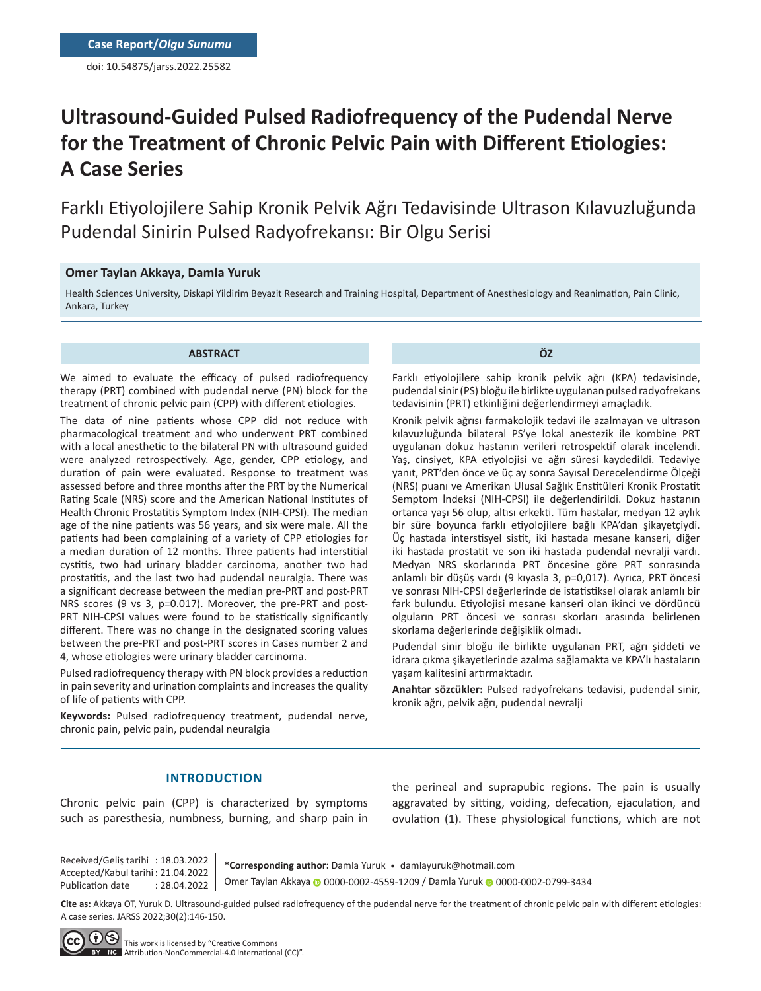doi: 10.54875/jarss.2022.25582

# **Ultrasound-Guided Pulsed Radiofrequency of the Pudendal Nerve for the Treatment of Chronic Pelvic Pain with Different Etiologies: A Case Series**

Farklı Etiyolojilere Sahip Kronik Pelvik Ağrı Tedavisinde Ultrason Kılavuzluğunda Pudendal Sinirin Pulsed Radyofrekansı: Bir Olgu Serisi

## **Omer Taylan Akkaya, Damla Yuruk**

Health Sciences University, Diskapi Yildirim Beyazit Research and Training Hospital, Department of Anesthesiology and Reanimation, Pain Clinic, Ankara, Turkey

#### **ABSTRACT**

We aimed to evaluate the efficacy of pulsed radiofrequency therapy (PRT) combined with pudendal nerve (PN) block for the treatment of chronic pelvic pain (CPP) with different etiologies.

The data of nine patients whose CPP did not reduce with pharmacological treatment and who underwent PRT combined with a local anesthetic to the bilateral PN with ultrasound guided were analyzed retrospectively. Age, gender, CPP etiology, and duration of pain were evaluated. Response to treatment was assessed before and three months after the PRT by the Numerical Rating Scale (NRS) score and the American National Institutes of Health Chronic Prostatitis Symptom Index (NIH-CPSI). The median age of the nine patients was 56 years, and six were male. All the patients had been complaining of a variety of CPP etiologies for a median duration of 12 months. Three patients had interstitial cystitis, two had urinary bladder carcinoma, another two had prostatitis, and the last two had pudendal neuralgia. There was a significant decrease between the median pre-PRT and post-PRT NRS scores (9 vs 3, p=0.017). Moreover, the pre-PRT and post-PRT NIH-CPSI values were found to be statistically significantly different. There was no change in the designated scoring values between the pre-PRT and post-PRT scores in Cases number 2 and 4, whose etiologies were urinary bladder carcinoma.

Pulsed radiofrequency therapy with PN block provides a reduction in pain severity and urination complaints and increases the quality of life of patients with CPP.

**Keywords:** Pulsed radiofrequency treatment, pudendal nerve, chronic pain, pelvic pain, pudendal neuralgia

**ÖZ**

Farklı etiyolojilere sahip kronik pelvik ağrı (KPA) tedavisinde, pudendal sinir (PS) bloğu ile birlikte uygulanan pulsed radyofrekans tedavisinin (PRT) etkinliğini değerlendirmeyi amaçladık.

Kronik pelvik ağrısı farmakolojik tedavi ile azalmayan ve ultrason kılavuzluğunda bilateral PS'ye lokal anestezik ile kombine PRT uygulanan dokuz hastanın verileri retrospektif olarak incelendi. Yaş, cinsiyet, KPA etiyolojisi ve ağrı süresi kaydedildi. Tedaviye yanıt, PRT'den önce ve üç ay sonra Sayısal Derecelendirme Ölçeği (NRS) puanı ve Amerikan Ulusal Sağlık Enstitüleri Kronik Prostatit Semptom İndeksi (NIH-CPSI) ile değerlendirildi. Dokuz hastanın ortanca yaşı 56 olup, altısı erkekti. Tüm hastalar, medyan 12 aylık bir süre boyunca farklı etiyolojilere bağlı KPA'dan şikayetçiydi. Üç hastada interstisyel sistit, iki hastada mesane kanseri, diğer iki hastada prostatit ve son iki hastada pudendal nevralji vardı. Medyan NRS skorlarında PRT öncesine göre PRT sonrasında anlamlı bir düşüş vardı (9 kıyasla 3, p=0,017). Ayrıca, PRT öncesi ve sonrası NIH-CPSI değerlerinde de istatistiksel olarak anlamlı bir fark bulundu. Etiyolojisi mesane kanseri olan ikinci ve dördüncü olguların PRT öncesi ve sonrası skorları arasında belirlenen skorlama değerlerinde değişiklik olmadı.

Pudendal sinir bloğu ile birlikte uygulanan PRT, ağrı şiddeti ve idrara çıkma şikayetlerinde azalma sağlamakta ve KPA'lı hastaların yaşam kalitesini artırmaktadır.

**Anahtar sözcükler:** Pulsed radyofrekans tedavisi, pudendal sinir, kronik ağrı, pelvik ağrı, pudendal nevralji

# **INTRODUCTION**

Chronic pelvic pain (CPP) is characterized by symptoms such as paresthesia, numbness, burning, and sharp pain in

the perineal and suprapubic regions. The pain is usually aggravated by sitting, voiding, defecation, ejaculation, and ovulation (1). These physiological functions, which are not

Received/Geliş tarihi : 18.03.2022 Accepted/Kabul tarihi : 21.04.2022 Publication date : 28.04.2022

**\*Corresponding author:** Damla Yuruk • damlayuruk@hotmail.com Omer Taylan Akkaya 0000-0002-4559-1209 / Damla Yuruk 0000-0002-0799-3434

**Cite as:** Akkaya OT, Yuruk D. Ultrasound-guided pulsed radiofrequency of the pudendal nerve for the treatment of chronic pelvic pain with different etiologies: A case series. JARSS 2022;30(2):146-150.

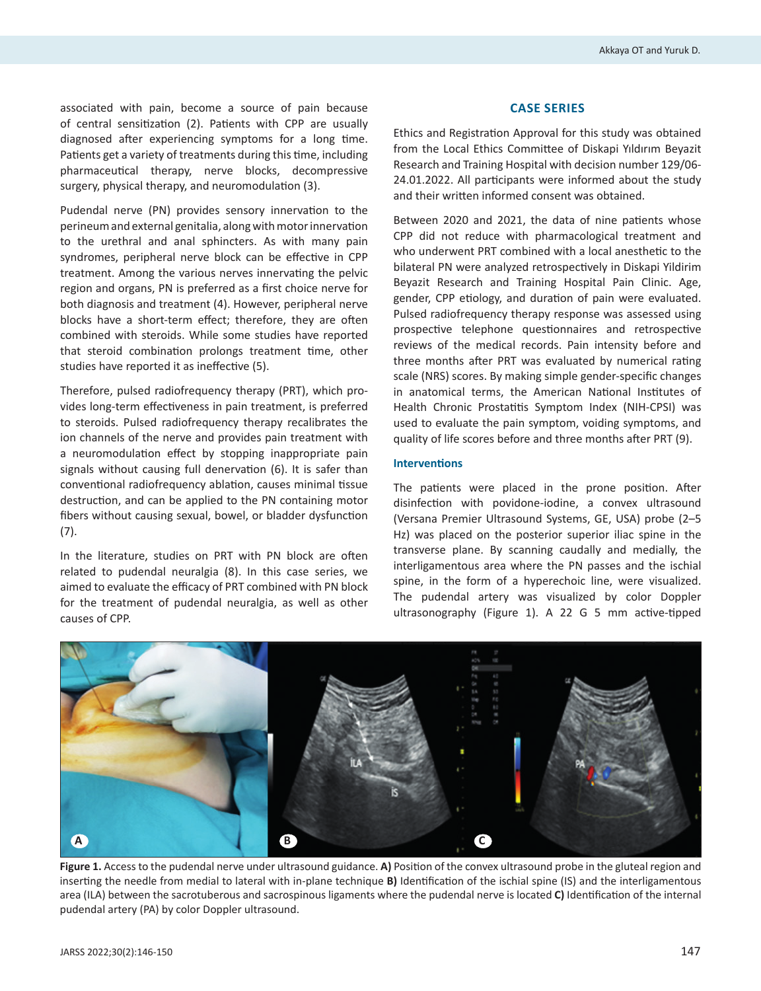associated with pain, become a source of pain because of central sensitization (2). Patients with CPP are usually diagnosed after experiencing symptoms for a long time. Patients get a variety of treatments during this time, including pharmaceutical therapy, nerve blocks, decompressive surgery, physical therapy, and neuromodulation (3).

Pudendal nerve (PN) provides sensory innervation to the perineum and external genitalia, along with motor innervation to the urethral and anal sphincters. As with many pain syndromes, peripheral nerve block can be effective in CPP treatment. Among the various nerves innervating the pelvic region and organs, PN is preferred as a first choice nerve for both diagnosis and treatment (4). However, peripheral nerve blocks have a short-term effect; therefore, they are often combined with steroids. While some studies have reported that steroid combination prolongs treatment time, other studies have reported it as ineffective (5).

Therefore, pulsed radiofrequency therapy (PRT), which provides long-term effectiveness in pain treatment, is preferred to steroids. Pulsed radiofrequency therapy recalibrates the ion channels of the nerve and provides pain treatment with a neuromodulation effect by stopping inappropriate pain signals without causing full denervation (6). It is safer than conventional radiofrequency ablation, causes minimal tissue destruction, and can be applied to the PN containing motor fibers without causing sexual, bowel, or bladder dysfunction (7).

In the literature, studies on PRT with PN block are often related to pudendal neuralgia (8). In this case series, we aimed to evaluate the efficacy of PRT combined with PN block for the treatment of pudendal neuralgia, as well as other causes of CPP.

#### **CASE SERIES**

Ethics and Registration Approval for this study was obtained from the Local Ethics Committee of Diskapi Yıldırım Beyazit Research and Training Hospital with decision number 129/06- 24.01.2022. All participants were informed about the study and their written informed consent was obtained.

Between 2020 and 2021, the data of nine patients whose CPP did not reduce with pharmacological treatment and who underwent PRT combined with a local anesthetic to the bilateral PN were analyzed retrospectively in Diskapi Yildirim Beyazit Research and Training Hospital Pain Clinic. Age, gender, CPP etiology, and duration of pain were evaluated. Pulsed radiofrequency therapy response was assessed using prospective telephone questionnaires and retrospective reviews of the medical records. Pain intensity before and three months after PRT was evaluated by numerical rating scale (NRS) scores. By making simple gender-specific changes in anatomical terms, the American National Institutes of Health Chronic Prostatitis Symptom Index (NIH-CPSI) was used to evaluate the pain symptom, voiding symptoms, and quality of life scores before and three months after PRT (9).

#### **Interventions**

The patients were placed in the prone position. After disinfection with povidone-iodine, a convex ultrasound (Versana Premier Ultrasound Systems, GE, USA) probe (2–5 Hz) was placed on the posterior superior iliac spine in the transverse plane. By scanning caudally and medially, the interligamentous area where the PN passes and the ischial spine, in the form of a hyperechoic line, were visualized. The pudendal artery was visualized by color Doppler ultrasonography (Figure 1). A 22 G 5 mm active-tipped



**Figure 1.** Access to the pudendal nerve under ultrasound guidance. **A)** Position of the convex ultrasound probe in the gluteal region and inserting the needle from medial to lateral with in-plane technique **B)** Identification of the ischial spine (IS) and the interligamentous area (ILA) between the sacrotuberous and sacrospinous ligaments where the pudendal nerve is located **C)** Identification of the internal pudendal artery (PA) by color Doppler ultrasound.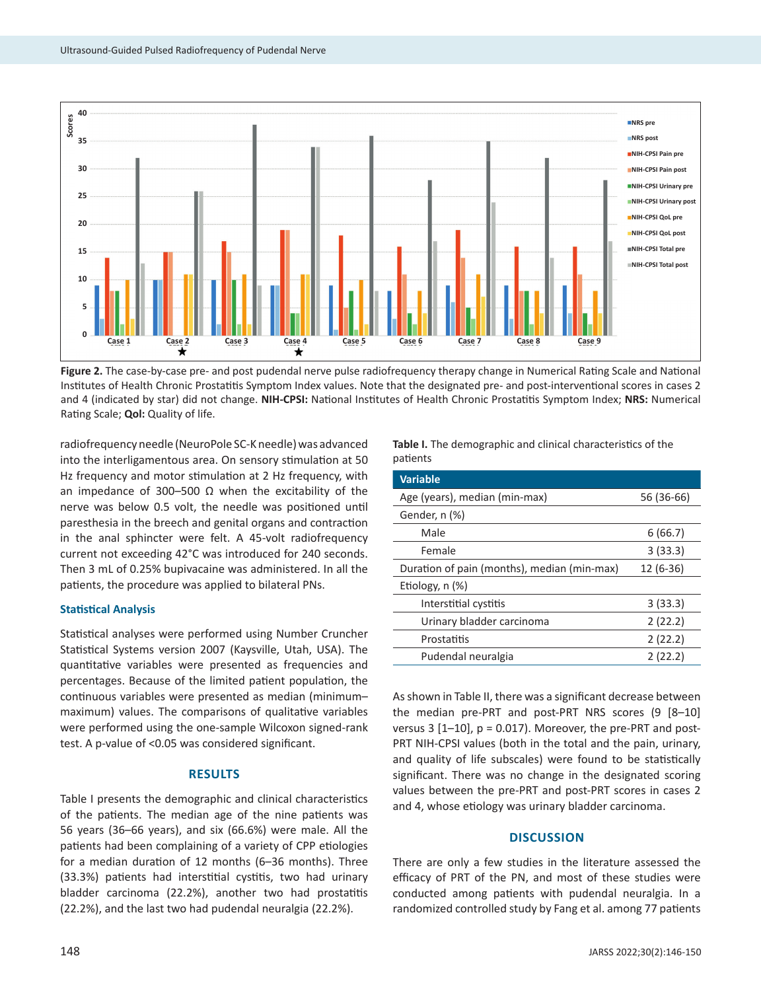

**Figure 2.** The case-by-case pre- and post pudendal nerve pulse radiofrequency therapy change in Numerical Rating Scale and National Institutes of Health Chronic Prostatitis Symptom Index values. Note that the designated pre- and post-interventional scores in cases 2 and 4 (indicated by star) did not change. **NIH-CPSI:** National Institutes of Health Chronic Prostatitis Symptom Index; **NRS:** Numerical Rating Scale; **Qol:** Quality of life.

radiofrequency needle (NeuroPole SC-K needle) was advanced into the interligamentous area. On sensory stimulation at 50 Hz frequency and motor stimulation at 2 Hz frequency, with an impedance of 300–500 Ω when the excitability of the nerve was below 0.5 volt, the needle was positioned until paresthesia in the breech and genital organs and contraction in the anal sphincter were felt. A 45-volt radiofrequency current not exceeding 42°C was introduced for 240 seconds. Then 3 mL of 0.25% bupivacaine was administered. In all the patients, the procedure was applied to bilateral PNs.

### **Statistical Analysis**

Statistical analyses were performed using Number Cruncher Statistical Systems version 2007 (Kaysville, Utah, USA). The quantitative variables were presented as frequencies and percentages. Because of the limited patient population, the continuous variables were presented as median (minimum– maximum) values. The comparisons of qualitative variables were performed using the one-sample Wilcoxon signed-rank test. A p-value of <0.05 was considered significant.

## **RESULTS**

Table I presents the demographic and clinical characteristics of the patients. The median age of the nine patients was 56 years (36–66 years), and six (66.6%) were male. All the patients had been complaining of a variety of CPP etiologies for a median duration of 12 months (6–36 months). Three (33.3%) patients had interstitial cystitis, two had urinary bladder carcinoma (22.2%), another two had prostatitis (22.2%), and the last two had pudendal neuralgia (22.2%).

**Table I.** The demographic and clinical characteristics of the patients

| <b>Variable</b>                             |            |
|---------------------------------------------|------------|
| Age (years), median (min-max)               | 56 (36-66) |
| Gender, n (%)                               |            |
| Male                                        | 6(66.7)    |
| Female                                      | 3(33.3)    |
| Duration of pain (months), median (min-max) | $12(6-36)$ |
| Etiology, n (%)                             |            |
| Interstitial cystitis                       | 3(33.3)    |
| Urinary bladder carcinoma                   | 2(22.2)    |
| Prostatitis                                 | 2(22.2)    |
| Pudendal neuralgia                          | 2(22.2)    |

As shown in Table II, there was a significant decrease between the median pre-PRT and post-PRT NRS scores (9 [8–10] versus  $3$  [1-10],  $p = 0.017$ ). Moreover, the pre-PRT and post-PRT NIH-CPSI values (both in the total and the pain, urinary, and quality of life subscales) were found to be statistically significant. There was no change in the designated scoring values between the pre-PRT and post-PRT scores in cases 2 and 4, whose etiology was urinary bladder carcinoma.

# **DISCUSSION**

There are only a few studies in the literature assessed the efficacy of PRT of the PN, and most of these studies were conducted among patients with pudendal neuralgia. In a randomized controlled study by Fang et al. among 77 patients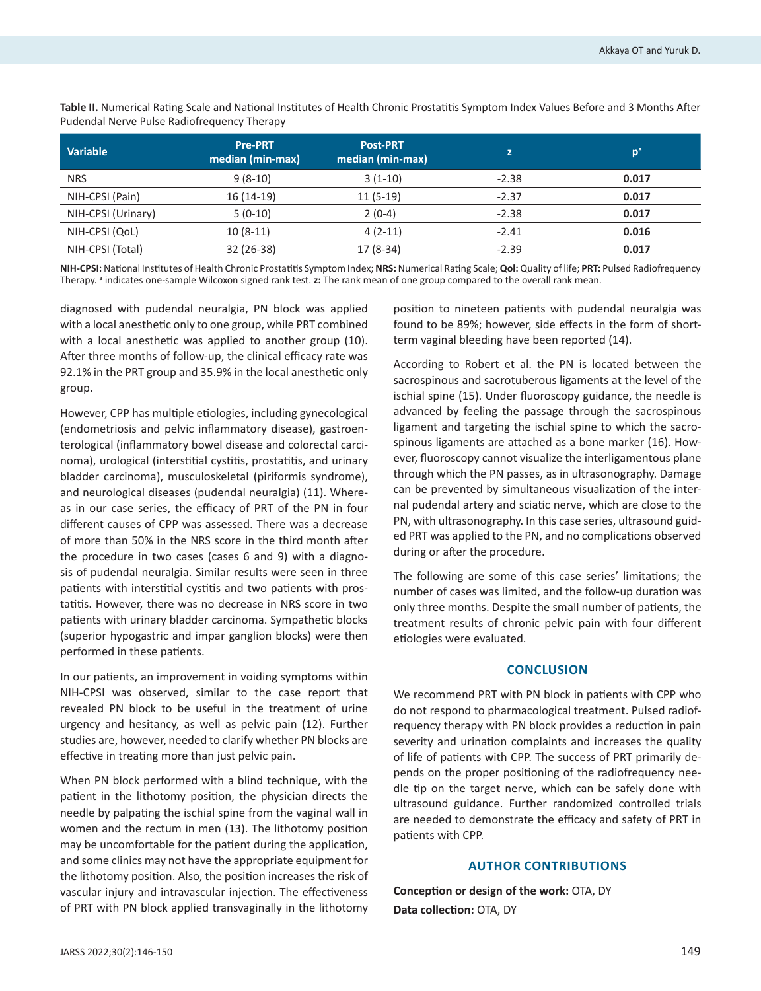| <b>Variable</b>    | <b>Pre-PRT</b><br>median (min-max) | <b>Post-PRT</b><br>median (min-max) | z       | p <sup>a</sup> |
|--------------------|------------------------------------|-------------------------------------|---------|----------------|
| <b>NRS</b>         | $9(8-10)$                          | $3(1-10)$                           | $-2.38$ | 0.017          |
| NIH-CPSI (Pain)    | $16(14-19)$                        | $11(5-19)$                          | $-2.37$ | 0.017          |
| NIH-CPSI (Urinary) | $5(0-10)$                          | $2(0-4)$                            | $-2.38$ | 0.017          |
| NIH-CPSI (QoL)     | $10(8-11)$                         | $4(2-11)$                           | $-2.41$ | 0.016          |
| NIH-CPSI (Total)   | 32 (26-38)                         | $17(8-34)$                          | $-2.39$ | 0.017          |
|                    |                                    |                                     |         |                |

**Table II.** Numerical Rating Scale and National Institutes of Health Chronic Prostatitis Symptom Index Values Before and 3 Months After Pudendal Nerve Pulse Radiofrequency Therapy

**NIH-CPSI:** National Institutes of Health Chronic Prostatitis Symptom Index; **NRS:** Numerical Rating Scale; **Qol:** Quality of life; **PRT:** Pulsed Radiofrequency Therapy. **<sup>a</sup>** indicates one-sample Wilcoxon signed rank test. **z:** The rank mean of one group compared to the overall rank mean.

diagnosed with pudendal neuralgia, PN block was applied with a local anesthetic only to one group, while PRT combined with a local anesthetic was applied to another group (10). After three months of follow-up, the clinical efficacy rate was 92.1% in the PRT group and 35.9% in the local anesthetic only group.

However, CPP has multiple etiologies, including gynecological (endometriosis and pelvic inflammatory disease), gastroenterological (inflammatory bowel disease and colorectal carcinoma), urological (interstitial cystitis, prostatitis, and urinary bladder carcinoma), musculoskeletal (piriformis syndrome), and neurological diseases (pudendal neuralgia) (11). Whereas in our case series, the efficacy of PRT of the PN in four different causes of CPP was assessed. There was a decrease of more than 50% in the NRS score in the third month after the procedure in two cases (cases 6 and 9) with a diagnosis of pudendal neuralgia. Similar results were seen in three patients with interstitial cystitis and two patients with prostatitis. However, there was no decrease in NRS score in two patients with urinary bladder carcinoma. Sympathetic blocks (superior hypogastric and impar ganglion blocks) were then performed in these patients.

In our patients, an improvement in voiding symptoms within NIH-CPSI was observed, similar to the case report that revealed PN block to be useful in the treatment of urine urgency and hesitancy, as well as pelvic pain (12). Further studies are, however, needed to clarify whether PN blocks are effective in treating more than just pelvic pain.

When PN block performed with a blind technique, with the patient in the lithotomy position, the physician directs the needle by palpating the ischial spine from the vaginal wall in women and the rectum in men (13). The lithotomy position may be uncomfortable for the patient during the application, and some clinics may not have the appropriate equipment for the lithotomy position. Also, the position increases the risk of vascular injury and intravascular injection. The effectiveness of PRT with PN block applied transvaginally in the lithotomy position to nineteen patients with pudendal neuralgia was found to be 89%; however, side effects in the form of shortterm vaginal bleeding have been reported (14).

According to Robert et al. the PN is located between the sacrospinous and sacrotuberous ligaments at the level of the ischial spine (15). Under fluoroscopy guidance, the needle is advanced by feeling the passage through the sacrospinous ligament and targeting the ischial spine to which the sacrospinous ligaments are attached as a bone marker (16). However, fluoroscopy cannot visualize the interligamentous plane through which the PN passes, as in ultrasonography. Damage can be prevented by simultaneous visualization of the internal pudendal artery and sciatic nerve, which are close to the PN, with ultrasonography. In this case series, ultrasound guided PRT was applied to the PN, and no complications observed during or after the procedure.

The following are some of this case series' limitations; the number of cases was limited, and the follow-up duration was only three months. Despite the small number of patients, the treatment results of chronic pelvic pain with four different etiologies were evaluated.

### **CONCLUSION**

We recommend PRT with PN block in patients with CPP who do not respond to pharmacological treatment. Pulsed radiofrequency therapy with PN block provides a reduction in pain severity and urination complaints and increases the quality of life of patients with CPP. The success of PRT primarily depends on the proper positioning of the radiofrequency needle tip on the target nerve, which can be safely done with ultrasound guidance. Further randomized controlled trials are needed to demonstrate the efficacy and safety of PRT in patients with CPP.

# **AUTHOR CONTRIBUTIONS**

**Conception or design of the work:** OTA, DY **Data collection:** OTA, DY